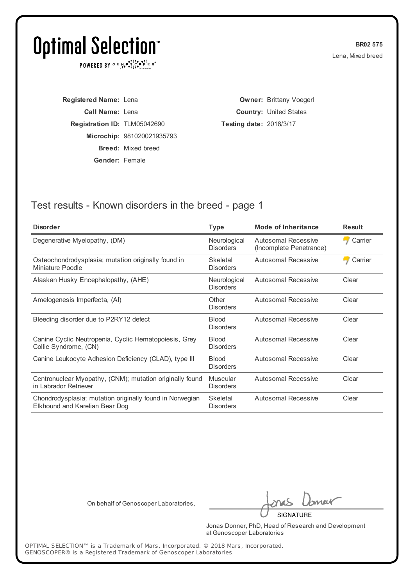POWERED BY  $G \in N_{\bullet} \bullet_{\bullet}^{\dagger} \mathbb{I}_{\bullet}^{\dagger} \bullet_{\mathbf{P}}^{\dagger} \mathbb{E} \mathbb{R}^{\circ}$ 

**BR02 575** Lena, Mixed breed

**Registered Name:** Lena **Call Name:** Lena **Registration ID:** TLM05042690 **Microchip:** 981020021935793 **Breed:** Mixed breed **Gender:** Female

**Owner:** Brittany Voegerl **Country:** United States **Testing date:** 2018/3/17

## Test results - Known disorders in the breed - page 1

| <b>Disorder</b>                                                                            | <b>Type</b>                      | <b>Mode of Inheritance</b>                     | <b>Result</b> |
|--------------------------------------------------------------------------------------------|----------------------------------|------------------------------------------------|---------------|
| Degenerative Myelopathy, (DM)                                                              | Neurological<br><b>Disorders</b> | Autosomal Recessive<br>(Incomplete Penetrance) | Carrier       |
| Osteochondrodysplasia; mutation originally found in<br>Miniature Poodle                    | Skeletal<br><b>Disorders</b>     | Autosomal Recessive                            | Carrier       |
| Alaskan Husky Encephalopathy, (AHE)                                                        | Neurological<br><b>Disorders</b> | Autosomal Recessive                            | Clear         |
| Amelogenesis Imperfecta, (AI)                                                              | Other<br><b>Disorders</b>        | Autosomal Recessive                            | Clear         |
| Bleeding disorder due to P2RY12 defect                                                     | <b>Blood</b><br><b>Disorders</b> | Autosomal Recessive                            | Clear         |
| Canine Cyclic Neutropenia, Cyclic Hematopoiesis, Grey<br>Collie Syndrome, (CN)             | <b>Blood</b><br><b>Disorders</b> | Autosomal Recessive                            | Clear         |
| Canine Leukocyte Adhesion Deficiency (CLAD), type III                                      | <b>Blood</b><br><b>Disorders</b> | <b>Autosomal Recessive</b>                     | Clear         |
| Centronuclear Myopathy, (CNM); mutation originally found<br>in Labrador Retriever          | Muscular<br><b>Disorders</b>     | Autosomal Recessive                            | Clear         |
| Chondrodysplasia; mutation originally found in Norwegian<br>Elkhound and Karelian Bear Dog | Skeletal<br><b>Disorders</b>     | Autosomal Recessive                            | Clear         |

On behalf of Genoscoper Laboratories,

meit

**SIGNATURE** 

Jonas Donner, PhD, Head of Research and Development at Genoscoper Laboratories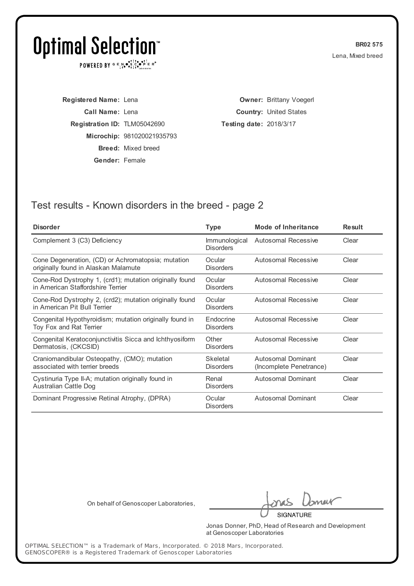POWERED BY  $G \in N_{\bullet} \bullet_{\bullet}^{\dagger} \mathbb{I}_{\bullet}^{\dagger} \bullet_{\mathbf{P}}^{\dagger} \mathbb{E} \mathbb{R}^{\circ}$ 

**BR02 575** Lena, Mixed breed

**Registered Name:** Lena **Call Name:** Lena **Registration ID:** TLM05042690 **Microchip:** 981020021935793 **Breed:** Mixed breed **Gender:** Female

**Owner:** Brittany Voegerl **Country:** United States **Testing date:** 2018/3/17

## Test results - Known disorders in the breed - page 2

| <b>Disorder</b>                                                                              | Type                              | <b>Mode of Inheritance</b>                    | <b>Result</b> |
|----------------------------------------------------------------------------------------------|-----------------------------------|-----------------------------------------------|---------------|
| Complement 3 (C3) Deficiency                                                                 | Immunological<br><b>Disorders</b> | Autosomal Recessive                           | Clear         |
| Cone Degeneration, (CD) or Achromatopsia; mutation<br>originally found in Alaskan Malamute   | Ocular<br><b>Disorders</b>        | Autosomal Recessive                           | Clear         |
| Cone-Rod Dystrophy 1, (crd1); mutation originally found<br>in American Staffordshire Terrier | Ocular<br><b>Disorders</b>        | Autosomal Recessive                           | Clear         |
| Cone-Rod Dystrophy 2, (crd2); mutation originally found<br>in American Pit Bull Terrier      | Ocular<br><b>Disorders</b>        | Autosomal Recessive                           | Clear         |
| Congenital Hypothyroidism; mutation originally found in<br>Toy Fox and Rat Terrier           | Endocrine<br><b>Disorders</b>     | Autosomal Recessive                           | Clear         |
| Congenital Keratoconjunctivitis Sicca and Ichthyosiform<br>Dermatosis, (CKCSID)              | Other<br><b>Disorders</b>         | Autosomal Recessive                           | Clear         |
| Craniomandibular Osteopathy, (CMO); mutation<br>associated with terrier breeds               | Skeletal<br><b>Disorders</b>      | Autosomal Dominant<br>(Incomplete Penetrance) | Clear         |
| Cystinuria Type II-A; mutation originally found in<br>Australian Cattle Dog                  | Renal<br><b>Disorders</b>         | <b>Autosomal Dominant</b>                     | Clear         |
| Dominant Progressive Retinal Atrophy, (DPRA)                                                 | Ocular<br><b>Disorders</b>        | <b>Autosomal Dominant</b>                     | Clear         |

On behalf of Genoscoper Laboratories,

neit

**SIGNATURE** 

Jonas Donner, PhD, Head of Research and Development at Genoscoper Laboratories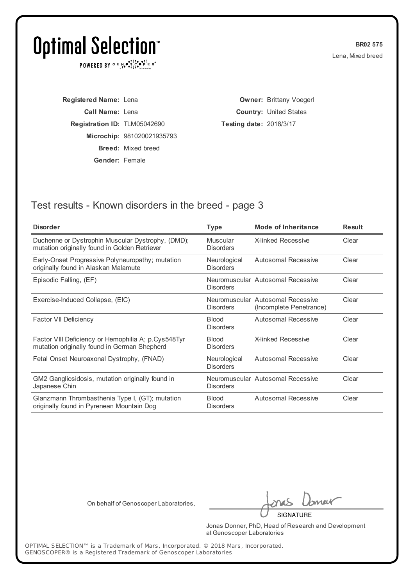POWERED BY  $G \in N_{\bullet} \bullet_{\bullet}^{\dagger} \mathbb{I}_{\bullet}^{\dagger} \bullet_{\mathbf{P}}^{\dagger} \mathbb{E} \mathbb{R}^{\circ}$ 

**BR02 575** Lena, Mixed breed

**Registered Name:** Lena **Call Name:** Lena **Registration ID:** TLM05042690 **Microchip:** 981020021935793 **Breed:** Mixed breed **Gender:** Female

**Owner:** Brittany Voegerl **Country:** United States **Testing date:** 2018/3/17

## Test results - Known disorders in the breed - page 3

| <b>Disorder</b>                                                                                     | <b>Type</b>                      | <b>Mode of Inheritance</b>                                   | <b>Result</b> |
|-----------------------------------------------------------------------------------------------------|----------------------------------|--------------------------------------------------------------|---------------|
| Duchenne or Dystrophin Muscular Dystrophy, (DMD);<br>mutation originally found in Golden Retriever  | Muscular<br><b>Disorders</b>     | <b>X-linked Recessive</b>                                    | Clear         |
| Early-Onset Progressive Polyneuropathy; mutation<br>originally found in Alaskan Malamute            | Neurological<br><b>Disorders</b> | Autosomal Recessive                                          | Clear         |
| Episodic Falling, (EF)                                                                              | <b>Disorders</b>                 | Neuromuscular Autosomal Recessive                            | Clear         |
| Exercise-Induced Collapse, (EIC)                                                                    | <b>Disorders</b>                 | Neuromuscular Autosomal Recessive<br>(Incomplete Penetrance) | Clear         |
| Factor VII Deficiency                                                                               | <b>Blood</b><br><b>Disorders</b> | Autosomal Recessive                                          | Clear         |
| Factor VIII Deficiency or Hemophilia A; p.Cys548Tyr<br>mutation originally found in German Shepherd | <b>Blood</b><br><b>Disorders</b> | <b>X-linked Recessive</b>                                    | Clear         |
| Fetal Onset Neuroaxonal Dystrophy, (FNAD)                                                           | Neurological<br><b>Disorders</b> | Autosomal Recessive                                          | Clear         |
| GM2 Gangliosidosis, mutation originally found in<br>Japanese Chin                                   | <b>Disorders</b>                 | Neuromuscular Autosomal Recessive                            | Clear         |
| Glanzmann Thrombasthenia Type I, (GT); mutation<br>originally found in Pyrenean Mountain Dog        | <b>Blood</b><br><b>Disorders</b> | Autosomal Recessive                                          | Clear         |

On behalf of Genoscoper Laboratories,

meit

**SIGNATURE** 

Jonas Donner, PhD, Head of Research and Development at Genoscoper Laboratories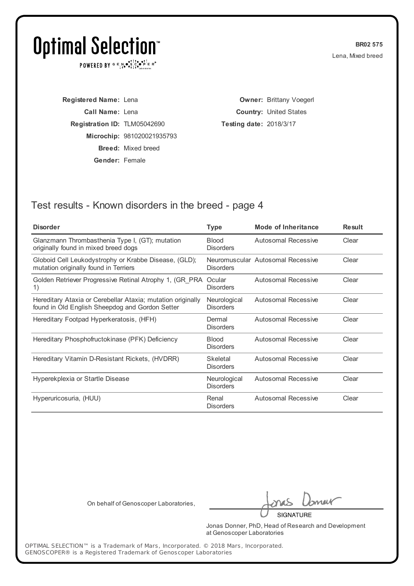POWERED BY  $G \in N_{\bullet} \bullet_{\bullet}^{\dagger} \mathbb{I}_{\bullet}^{\dagger} \bullet_{\mathbf{P}}^{\dagger} \mathbb{E} \mathbb{R}^{\circ}$ 

**BR02 575** Lena, Mixed breed

**Registered Name:** Lena **Call Name:** Lena **Registration ID:** TLM05042690 **Microchip:** 981020021935793 **Breed:** Mixed breed **Gender:** Female

**Owner:** Brittany Voegerl **Country:** United States **Testing date:** 2018/3/17

## Test results - Known disorders in the breed - page 4

| <b>Disorder</b>                                                                                                | <b>Type</b>                      | <b>Mode of Inheritance</b>        | <b>Result</b> |
|----------------------------------------------------------------------------------------------------------------|----------------------------------|-----------------------------------|---------------|
| Glanzmann Thrombasthenia Type I, (GT); mutation<br>originally found in mixed breed dogs                        | <b>Blood</b><br><b>Disorders</b> | <b>Autosomal Recessive</b>        | Clear         |
| Globoid Cell Leukodystrophy or Krabbe Disease, (GLD);<br>mutation originally found in Terriers                 | <b>Disorders</b>                 | Neuromuscular Autosomal Recessive | Clear         |
| Golden Retriever Progressive Retinal Atrophy 1, (GR PRA<br>1)                                                  | Ocular<br><b>Disorders</b>       | Autosomal Recessive               | Clear         |
| Hereditary Ataxia or Cerebellar Ataxia; mutation originally<br>found in Old English Sheepdog and Gordon Setter | Neurological<br><b>Disorders</b> | Autosomal Recessive               | Clear         |
| Hereditary Footpad Hyperkeratosis, (HFH)                                                                       | Dermal<br><b>Disorders</b>       | Autosomal Recessive               | Clear         |
| Hereditary Phosphofructokinase (PFK) Deficiency                                                                | <b>Blood</b><br><b>Disorders</b> | Autosomal Recessive               | Clear         |
| Hereditary Vitamin D-Resistant Rickets, (HVDRR)                                                                | Skeletal<br><b>Disorders</b>     | Autosomal Recessive               | Clear         |
| Hyperekplexia or Startle Disease                                                                               | Neurological<br><b>Disorders</b> | <b>Autosomal Recessive</b>        | Clear         |
| Hyperuricosuria, (HUU)                                                                                         | Renal<br><b>Disorders</b>        | Autosomal Recessive               | Clear         |

On behalf of Genoscoper Laboratories,

neit

**SIGNATURE** 

Jonas Donner, PhD, Head of Research and Development at Genoscoper Laboratories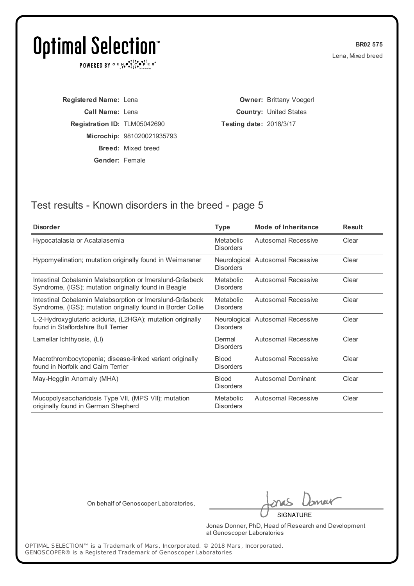POWERED BY  $G \in N_{\bullet} \bullet_{\bullet}^{\dagger} \mathbb{I}_{\bullet}^{\dagger} \bullet_{\mathbf{P}}^{\dagger} \mathbb{E} \mathbb{R}^{\circ}$ 

**BR02 575** Lena, Mixed breed

**Registered Name:** Lena **Call Name:** Lena **Registration ID:** TLM05042690 **Microchip:** 981020021935793 **Breed:** Mixed breed **Gender:** Female

**Owner:** Brittany Voegerl **Country:** United States **Testing date:** 2018/3/17

## Test results - Known disorders in the breed - page 5

| <b>Type</b>                          | <b>Mode of Inheritance</b> | <b>Result</b>                                                        |
|--------------------------------------|----------------------------|----------------------------------------------------------------------|
| Metabolic<br><b>Disorders</b>        | Autosomal Recessive        | Clear                                                                |
| <b>Disorders</b>                     |                            | Clear                                                                |
| <b>Metabolic</b><br><b>Disorders</b> | Autosomal Recessive        | Clear                                                                |
| <b>Metabolic</b><br><b>Disorders</b> | Autosomal Recessive        | Clear                                                                |
| <b>Disorders</b>                     |                            | Clear                                                                |
| Dermal<br><b>Disorders</b>           | Autosomal Recessive        | Clear                                                                |
| <b>Blood</b><br><b>Disorders</b>     | Autosomal Recessive        | Clear                                                                |
| <b>Blood</b><br><b>Disorders</b>     | <b>Autosomal Dominant</b>  | Clear                                                                |
| Metabolic<br><b>Disorders</b>        | Autosomal Recessive        | Clear                                                                |
|                                      |                            | Neurological Autosomal Recessive<br>Neurological Autosomal Recessive |

On behalf of Genoscoper Laboratories,

meit

**SIGNATURE** 

Jonas Donner, PhD, Head of Research and Development at Genoscoper Laboratories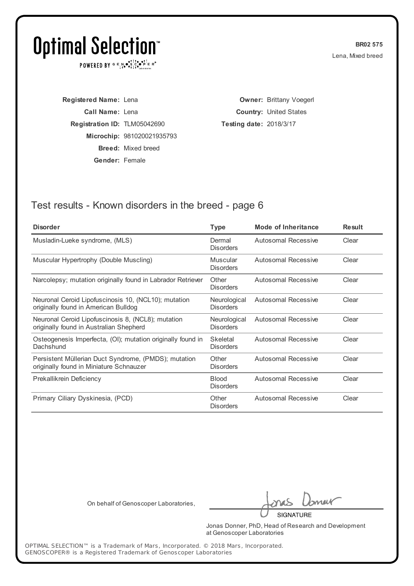POWERED BY  $G \in N_{\bullet} \bullet_{\bullet}^{\dagger} \mathbb{I}_{\bullet}^{\dagger} \bullet_{\mathbf{P}}^{\dagger} \mathbb{E} \mathbb{R}^{\circ}$ 

**BR02 575** Lena, Mixed breed

**Registered Name:** Lena **Call Name:** Lena **Registration ID:** TLM05042690 **Microchip:** 981020021935793 **Breed:** Mixed breed **Gender:** Female

**Owner:** Brittany Voegerl **Country:** United States **Testing date:** 2018/3/17

## Test results - Known disorders in the breed - page 6

| <b>Disorder</b>                                                                                 | <b>Type</b>                      | <b>Mode of Inheritance</b> | <b>Result</b> |
|-------------------------------------------------------------------------------------------------|----------------------------------|----------------------------|---------------|
| Musladin-Lueke syndrome, (MLS)                                                                  | Dermal<br><b>Disorders</b>       | Autosomal Recessive        | Clear         |
| Muscular Hypertrophy (Double Muscling)                                                          | Muscular<br><b>Disorders</b>     | Autosomal Recessive        | Clear         |
| Narcolepsy; mutation originally found in Labrador Retriever                                     | Other<br><b>Disorders</b>        | <b>Autosomal Recessive</b> | Clear         |
| Neuronal Ceroid Lipofuscinosis 10, (NCL10); mutation<br>originally found in American Bulldog    | Neurological<br><b>Disorders</b> | Autosomal Recessive        | Clear         |
| Neuronal Ceroid Lipofuscinosis 8, (NCL8); mutation<br>originally found in Australian Shepherd   | Neurological<br><b>Disorders</b> | <b>Autosomal Recessive</b> | Clear         |
| Osteogenesis Imperfecta, (OI); mutation originally found in<br>Dachshund                        | Skeletal<br><b>Disorders</b>     | Autosomal Recessive        | Clear         |
| Persistent Müllerian Duct Syndrome, (PMDS); mutation<br>originally found in Miniature Schnauzer | Other<br><b>Disorders</b>        | Autosomal Recessive        | Clear         |
| Prekallikrein Deficiency                                                                        | <b>Blood</b><br><b>Disorders</b> | <b>Autosomal Recessive</b> | Clear         |
| Primary Ciliary Dyskinesia, (PCD)                                                               | Other<br><b>Disorders</b>        | Autosomal Recessive        | Clear         |
|                                                                                                 |                                  |                            |               |

On behalf of Genoscoper Laboratories,

neit

**SIGNATURE** 

Jonas Donner, PhD, Head of Research and Development at Genoscoper Laboratories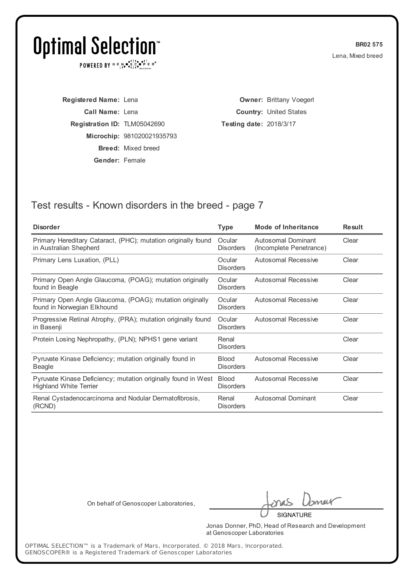POWERED BY  $G \in N_{\bullet} \bullet_{\bullet}^{\dagger} \mathbb{I}_{\bullet}^{\dagger} \bullet_{\mathbf{P}}^{\dagger} \mathbb{E} \mathbb{R}^{\circ}$ 

**BR02 575** Lena, Mixed breed

**Registered Name:** Lena **Call Name:** Lena **Registration ID:** TLM05042690 **Microchip:** 981020021935793 **Breed:** Mixed breed **Gender:** Female

**Owner:** Brittany Voegerl **Country:** United States **Testing date:** 2018/3/17

### Test results - Known disorders in the breed - page 7

| <b>Disorder</b>                                                                                | <b>Type</b>                      | <b>Mode of Inheritance</b>                    | <b>Result</b> |
|------------------------------------------------------------------------------------------------|----------------------------------|-----------------------------------------------|---------------|
| Primary Hereditary Cataract, (PHC); mutation originally found<br>in Australian Shepherd        | Ocular<br><b>Disorders</b>       | Autosomal Dominant<br>(Incomplete Penetrance) | Clear         |
| Primary Lens Luxation, (PLL)                                                                   | Ocular<br><b>Disorders</b>       | Autosomal Recessive                           | Clear         |
| Primary Open Angle Glaucoma, (POAG); mutation originally<br>found in Beagle                    | Ocular<br><b>Disorders</b>       | Autosomal Recessive                           | Clear         |
| Primary Open Angle Glaucoma, (POAG); mutation originally<br>found in Norwegian Elkhound        | Ocular<br><b>Disorders</b>       | Autosomal Recessive                           | Clear         |
| Progressive Retinal Atrophy, (PRA); mutation originally found<br>in Basenji                    | Ocular<br><b>Disorders</b>       | Autosomal Recessive                           | Clear         |
| Protein Losing Nephropathy, (PLN); NPHS1 gene variant                                          | Renal<br><b>Disorders</b>        |                                               | Clear         |
| Pyruvate Kinase Deficiency; mutation originally found in<br>Beagle                             | <b>Blood</b><br><b>Disorders</b> | Autosomal Recessive                           | Clear         |
| Pyruvate Kinase Deficiency; mutation originally found in West<br><b>Highland White Terrier</b> | <b>Blood</b><br><b>Disorders</b> | Autosomal Recessive                           | Clear         |
| Renal Cystadenocarcinoma and Nodular Dermatofibrosis,<br>(RCND)                                | Renal<br><b>Disorders</b>        | Autosomal Dominant                            | Clear         |

On behalf of Genoscoper Laboratories,

neit

**SIGNATURE** 

Jonas Donner, PhD, Head of Research and Development at Genoscoper Laboratories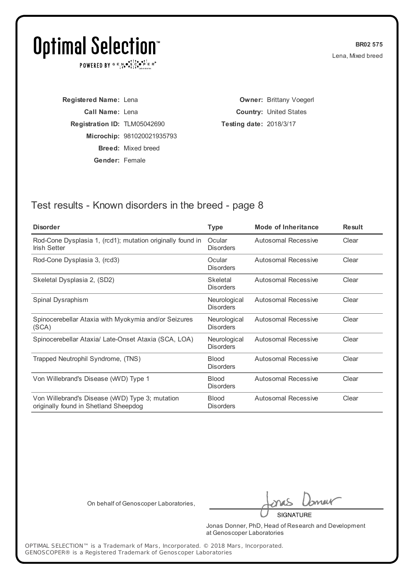POWERED BY  $G \in N_{\bullet} \bullet_{\bullet}^{\dagger} \mathbb{I}_{\bullet}^{\dagger} \bullet_{\mathbf{P}}^{\dagger} \mathbb{E} \mathbb{R}^{\circ}$ 

**BR02 575** Lena, Mixed breed

**Registered Name:** Lena **Call Name:** Lena **Registration ID:** TLM05042690 **Microchip:** 981020021935793 **Breed:** Mixed breed **Gender:** Female

**Owner:** Brittany Voegerl **Country:** United States **Testing date:** 2018/3/17

### Test results - Known disorders in the breed - page 8

| <b>Disorder</b>                                                                          | Type                             | <b>Mode of Inheritance</b> | <b>Result</b> |
|------------------------------------------------------------------------------------------|----------------------------------|----------------------------|---------------|
| Rod-Cone Dysplasia 1, (rcd1); mutation originally found in<br>Irish Setter               | Ocular<br><b>Disorders</b>       | <b>Autosomal Recessive</b> | Clear         |
| Rod-Cone Dysplasia 3, (rcd3)                                                             | Ocular<br><b>Disorders</b>       | Autosomal Recessive        | Clear         |
| Skeletal Dysplasia 2, (SD2)                                                              | Skeletal<br><b>Disorders</b>     | Autosomal Recessive        | Clear         |
| Spinal Dysraphism                                                                        | Neurological<br><b>Disorders</b> | Autosomal Recessive        | Clear         |
| Spinocerebellar Ataxia with Myokymia and/or Seizures<br>(SCA)                            | Neurological<br><b>Disorders</b> | Autosomal Recessive        | Clear         |
| Spinocerebellar Ataxia/ Late-Onset Ataxia (SCA, LOA)                                     | Neurological<br><b>Disorders</b> | Autosomal Recessive        | Clear         |
| Trapped Neutrophil Syndrome, (TNS)                                                       | <b>Blood</b><br><b>Disorders</b> | <b>Autosomal Recessive</b> | Clear         |
| Von Willebrand's Disease (WVD) Type 1                                                    | <b>Blood</b><br><b>Disorders</b> | Autosomal Recessive        | Clear         |
| Von Willebrand's Disease (WVD) Type 3; mutation<br>originally found in Shetland Sheepdog | <b>Blood</b><br><b>Disorders</b> | Autosomal Recessive        | Clear         |
|                                                                                          |                                  |                            |               |

On behalf of Genoscoper Laboratories,

neit

**SIGNATURE** 

Jonas Donner, PhD, Head of Research and Development at Genoscoper Laboratories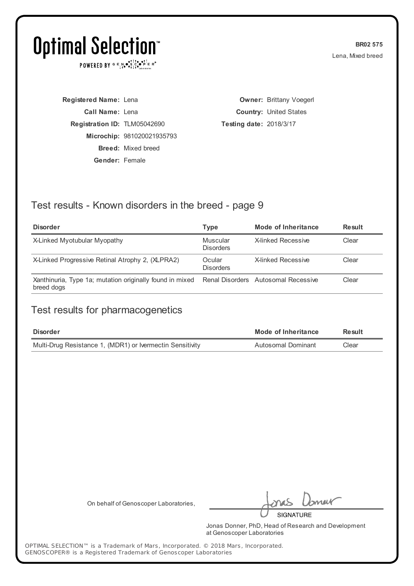POWERED BY  $G \in \mathbb{N} \bullet \mathbb{S}^1 \times \bullet \mathbb{S}^1 \longrightarrow \mathbb{R}^*$ 

**BR02 575** Lena, Mixed breed

**Registered Name:** Lena **Call Name:** Lena **Registration ID:** TLM05042690 **Microchip:** 981020021935793 **Breed:** Mixed breed **Gender:** Female

**Owner:** Brittany Voegerl **Country:** United States **Testing date:** 2018/3/17

## Test results - Known disorders in the breed - page 9

| <b>Disorder</b>                                                        | Type                         | Mode of Inheritance                 | <b>Result</b> |
|------------------------------------------------------------------------|------------------------------|-------------------------------------|---------------|
| X-Linked Myotubular Myopathy                                           | Muscular<br><b>Disorders</b> | X-linked Recessive                  | Clear         |
| X-Linked Progressive Retinal Atrophy 2, (XLPRA2)                       | Ocular<br><b>Disorders</b>   | X-linked Recessive                  | Clear         |
| Xanthinuria, Type 1a; mutation originally found in mixed<br>breed dogs |                              | Renal Disorders Autosomal Recessive | Clear         |

#### Test results for pharmacogenetics

| <b>Disorder</b>                                           | Mode of Inheritance | Result |
|-----------------------------------------------------------|---------------------|--------|
| Multi-Drug Resistance 1, (MDR1) or Ivermectin Sensitivity | Autosomal Dominant  | Clear  |

On behalf of Genoscoper Laboratories,

neik **SIGNATURE** 

Jonas Donner, PhD, Head of Research and Development at Genoscoper Laboratories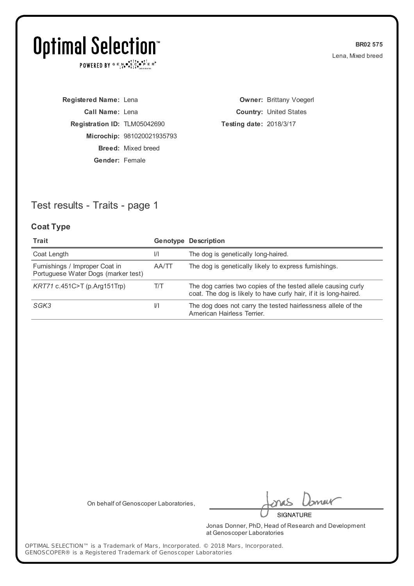POWERED BY  $G \in N_{\bullet} \bullet_{\bullet}^{\dagger} \mathbb{I}_{\bullet}^{\dagger} \bullet_{\mathbf{P}}^{\dagger} \mathbb{E} \mathbb{R}^{\circ}$ 

**BR02 575** Lena, Mixed breed

**Registered Name:** Lena **Call Name:** Lena **Registration ID:** TLM05042690 **Microchip:** 981020021935793 **Breed:** Mixed breed **Gender:** Female

**Owner:** Brittany Voegerl **Country:** United States **Testing date:** 2018/3/17

## Test results - Traits - page 1

#### **Coat Type**

| Trait                                                                 |               | <b>Genotype Description</b>                                                                                                        |
|-----------------------------------------------------------------------|---------------|------------------------------------------------------------------------------------------------------------------------------------|
| Coat Length                                                           | $\frac{1}{1}$ | The dog is genetically long-haired.                                                                                                |
| Furnishings / Improper Coat in<br>Portuguese Water Dogs (marker test) | AA/TT         | The dog is genetically likely to express furnishings.                                                                              |
| KRT71 c.451C>T (p.Arg151Trp)                                          | T/T           | The dog carries two copies of the tested allele causing curly<br>coat. The dog is likely to have curly hair, if it is long-haired. |
| SGK3                                                                  | $\frac{1}{1}$ | The dog does not carry the tested hairlessness allele of the<br>American Hairless Terrier.                                         |

On behalf of Genoscoper Laboratories,

meik

**SIGNATURE** 

Jonas Donner, PhD, Head of Research and Development at Genoscoper Laboratories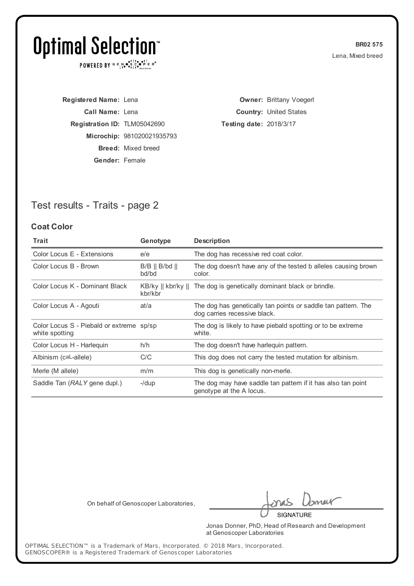POWERED BY  $G \in N_{\bullet} \bullet_{\bullet}^{\dagger} \mathbb{I}_{\bullet}^{\dagger} \bullet_{\mathbf{P}}^{\dagger} \mathbb{E} \mathbb{R}^{\circ}$ 

**BR02 575** Lena, Mixed breed

**Registered Name:** Lena **Call Name:** Lena **Registration ID:** TLM05042690 **Microchip:** 981020021935793 **Breed:** Mixed breed **Gender:** Female

**Owner:** Brittany Voegerl **Country:** United States **Testing date:** 2018/3/17

## Test results - Traits - page 2

#### **Coat Color**

| <b>Trait</b>                                               | Genotype                                | <b>Description</b>                                                                            |
|------------------------------------------------------------|-----------------------------------------|-----------------------------------------------------------------------------------------------|
| Color Locus E - Extensions                                 | e/e                                     | The dog has recessive red coat color.                                                         |
| Color Locus B - Brown                                      | $B/B \parallel B/bd \parallel$<br>bd/bd | The dog doesn't have any of the tested b alleles causing brown<br>color.                      |
| Color Locus K - Dominant Black                             | kbr/kbr                                 | KB/ky    kbr/ky    The dog is genetically dominant black or brindle.                          |
| Color Locus A - Agouti                                     | at/a                                    | The dog has genetically tan points or saddle tan pattern. The<br>dog carries recessive black. |
| Color Locus S - Piebald or extreme sp/sp<br>white spotting |                                         | The dog is likely to have piebald spotting or to be extreme<br>white.                         |
| Color Locus H - Harleguin                                  | h/h                                     | The dog doesn't have harlequin pattern.                                                       |
| Albinism (caL-allele)                                      | C/C                                     | This dog does not carry the tested mutation for albinism.                                     |
| Merle (M allele)                                           | m/m                                     | This dog is genetically non-merle.                                                            |
| Saddle Tan (RALY gene dupl.)                               | $-$ /dup                                | The dog may have saddle tan pattern if it has also tan point<br>genotype at the A locus.      |

On behalf of Genoscoper Laboratories,

meik

**SIGNATURE** 

Jonas Donner, PhD, Head of Research and Development at Genoscoper Laboratories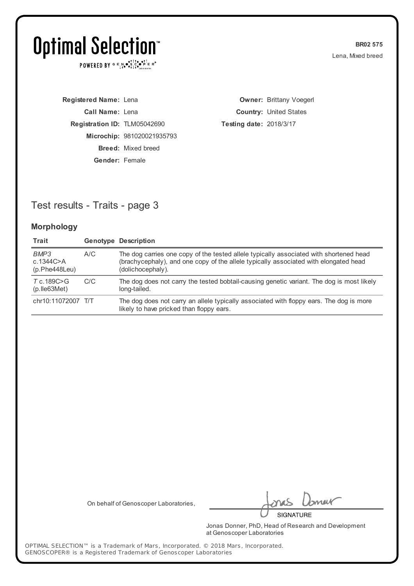POWERED BY  $G \in N_{\bullet} \bullet_{\bullet}^{\dagger} \mathbb{I}_{\bullet}^{\dagger} \bullet_{\mathbf{P}}^{\dagger} \mathbb{E} \mathbb{R}^{\circ}$ 

**BR02 575** Lena, Mixed breed

**Registered Name:** Lena **Call Name:** Lena **Registration ID:** TLM05042690 **Microchip:** 981020021935793 **Breed:** Mixed breed **Gender:** Female

**Owner:** Brittany Voegerl **Country:** United States **Testing date:** 2018/3/17

## Test results - Traits - page 3

#### **Morphology**

| Trait                                |     | <b>Genotype Description</b>                                                                                                                                                                         |
|--------------------------------------|-----|-----------------------------------------------------------------------------------------------------------------------------------------------------------------------------------------------------|
| BMP3<br>c.1344C > A<br>(p.Phe448Leu) | A/C | The dog carries one copy of the tested allele typically associated with shortened head<br>(brachycephaly), and one copy of the allele typically associated with elongated head<br>(dolichocephaly). |
| T c.189C>G<br>$(p.$ Ile 63 Met)      | C/C | The dog does not carry the tested bobtail-causing genetic variant. The dog is most likely<br>long-tailed.                                                                                           |
| chr10:11072007 T/T                   |     | The dog does not carry an allele typically associated with floppy ears. The dog is more<br>likely to have pricked than floppy ears.                                                                 |

On behalf of Genoscoper Laboratories,

meik

**SIGNATURE** 

Jonas Donner, PhD, Head of Research and Development at Genoscoper Laboratories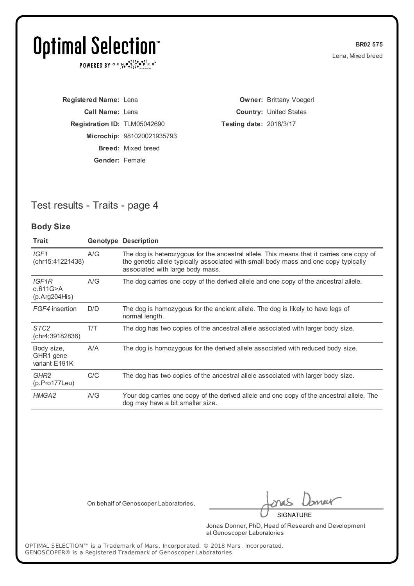POWERED BY  $G \in N_{\bullet} \bullet_{\bullet}^{\dagger} \mathbb{I}_{\bullet}^{\dagger} \bullet_{\mathbf{P}}^{\dagger} \mathbb{E} \mathbb{R}^{\circ}$ 

**BR02 575** Lena, Mixed breed

**Registered Name:** Lena **Call Name:** Lena **Registration ID:** TLM05042690 **Microchip:** 981020021935793 **Breed:** Mixed breed **Gender:** Female

**Owner:** Brittany Voegerl **Country:** United States **Testing date:** 2018/3/17

### Test results - Traits - page 4

#### **Body Size**

| Trait                                           |     | <b>Genotype Description</b>                                                                                                                                                                                         |
|-------------------------------------------------|-----|---------------------------------------------------------------------------------------------------------------------------------------------------------------------------------------------------------------------|
| IGF1<br>(chr15:41221438)                        | A/G | The dog is heterozygous for the ancestral allele. This means that it carries one copy of<br>the genetic allele typically associated with small body mass and one copy typically<br>associated with large body mass. |
| IGF <sub>1R</sub><br>c.611G>A<br>(p. Arg204His) | A/G | The dog carries one copy of the derived allele and one copy of the ancestral allele.                                                                                                                                |
| FGF4 insertion                                  | D/D | The dog is homozygous for the ancient allele. The dog is likely to have legs of<br>normal length.                                                                                                                   |
| STC <sub>2</sub><br>(chr4:39182836)             | T/T | The dog has two copies of the ancestral allele associated with larger body size.                                                                                                                                    |
| Body size,<br>GHR1 gene<br>variant E191K        | A/A | The dog is homozygous for the derived allele associated with reduced body size.                                                                                                                                     |
| GHR <sub>2</sub><br>$(p. Pro177$ Leu $)$        | C/C | The dog has two copies of the ancestral allele associated with larger body size.                                                                                                                                    |
| HMGA2                                           | A/G | Your dog carries one copy of the derived allele and one copy of the ancestral allele. The<br>dog may have a bit smaller size.                                                                                       |

On behalf of Genoscoper Laboratories,

meik **SIGNATURE** 

Jonas Donner, PhD, Head of Research and Development

at Genoscoper Laboratories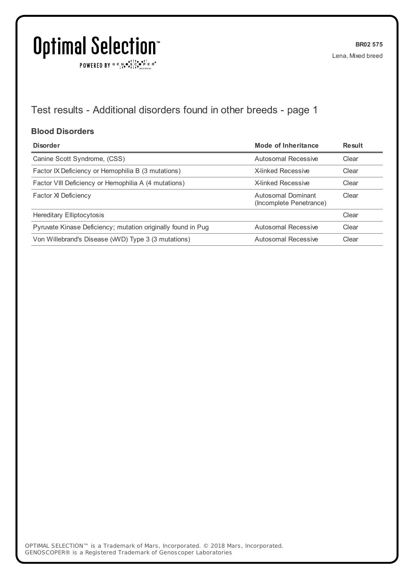$\texttt{POWERED BY} \xrightarrow{\mathbf{c}} \mathbb{I} \underset{\mathbf{a}}{\overset{\mathbf{r}}{\mathbf{a}}} \overset{\mathbf{r}}{\overset{\mathbf{r}}{\mathbf{s}}} \underset{\mathbf{a}}{\overset{\mathbf{r}}{\mathbf{a}}} \overset{\mathbf{r}}{\overset{\mathbf{r}}{\mathbf{s}}} \overset{\mathbf{r}}{\overset{\mathbf{r}}{\mathbf{s}}} \overset{\mathbf{r}}{\overset{\mathbf{r}}{\mathbf{s}}} \overset{\mathbf{r}}{\overset{\mathbf{r}}{\mathbf{s}}} \overset{\mathbf{r}}{\overset{\mathbf{r}}{\mathbf{s}}} \overset{\mathbf{r}}$ 

## Test results - Additional disorders found in other breeds - page 1

#### **Blood Disorders**

| <b>Disorder</b>                                              | Mode of Inheritance                           | Result |
|--------------------------------------------------------------|-----------------------------------------------|--------|
| Canine Scott Syndrome, (CSS)                                 | Autosomal Recessive                           | Clear  |
| Factor IX Deficiency or Hemophilia B (3 mutations)           | <b>X-linked Recessive</b>                     | Clear  |
| Factor VIII Deficiency or Hemophilia A (4 mutations)         | X-linked Recessive                            | Clear  |
| <b>Factor XI Deficiency</b>                                  | Autosomal Dominant<br>(Incomplete Penetrance) | Clear  |
| Hereditary Elliptocytosis                                    |                                               | Clear  |
| Pyruvate Kinase Deficiency; mutation originally found in Pug | Autosomal Recessive                           | Clear  |
| Von Willebrand's Disease (WVD) Type 3 (3 mutations)          | Autosomal Recessive                           | Clear  |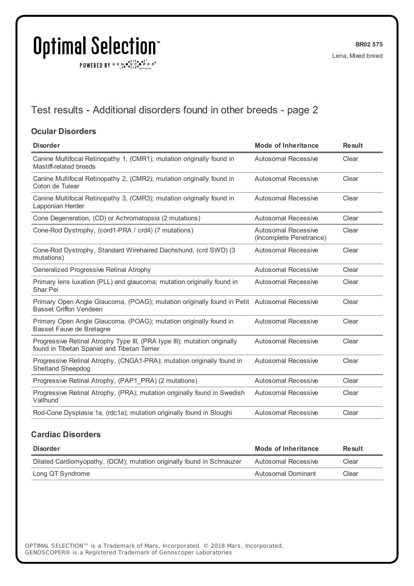POWERED BY  $G \in N \cdot S$   $C \cdot P$   $F \in R^{\circ}$ 

## Test results - Additional disorders found in other breeds - page 2

#### **Ocular Disorders**

| <b>Mode of Inheritance</b>                                                                  | <b>Result</b> |
|---------------------------------------------------------------------------------------------|---------------|
| Autosomal Recessive                                                                         | Clear         |
| Autosomal Recessive                                                                         | Clear         |
| <b>Autosomal Recessive</b>                                                                  | Clear         |
| Autosomal Recessive                                                                         | Clear         |
| Autosomal Recessive<br>(Incomplete Penetrance)                                              | Clear         |
| <b>Autosomal Recessive</b>                                                                  | Clear         |
| Autosomal Recessive                                                                         | Clear         |
| Autosomal Recessive                                                                         | Clear         |
| Primary Open Angle Glaucoma, (POAG); mutation originally found in Petit Autosomal Recessive | Clear         |
| Autosomal Recessive                                                                         | Clear         |
| Autosomal Recessive                                                                         | Clear         |
| <b>Autosomal Recessive</b>                                                                  | Clear         |
| Autosomal Recessive                                                                         | Clear         |
| <b>Autosomal Recessive</b>                                                                  | Clear         |
| <b>Autosomal Recessive</b>                                                                  | Clear         |
|                                                                                             |               |

#### **Cardiac Disorders**

| <b>Disorder</b>                                                       | Mode of Inheritance | <b>Result</b> |
|-----------------------------------------------------------------------|---------------------|---------------|
| Dilated Cardiomyopathy, (DCM); mutation originally found in Schnauzer | Autosomal Recessive | Clear         |
| Long QT Syndrome                                                      | Autosomal Dominant  | Clear         |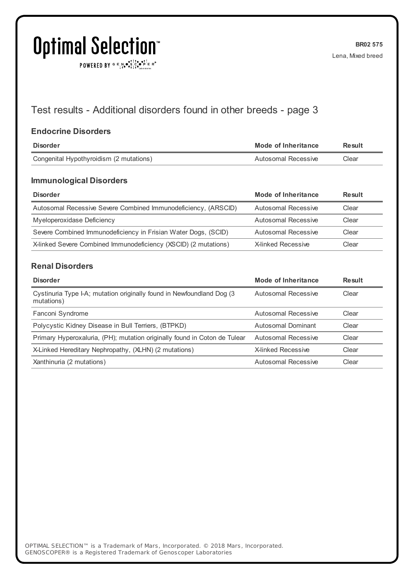POWERED BY  $G \in N_{\bullet} \bullet_{\bullet}^{\bullet}$ 

## Test results - Additional disorders found in other breeds - page 3

#### **Endocrine Disorders**

| Disorder                                | Mode of Inheritance | Result |
|-----------------------------------------|---------------------|--------|
| Congenital Hypothyroidism (2 mutations) | Autosomal Recessive | Clear  |
|                                         |                     |        |

#### **Immunological Disorders**

| <b>Disorder</b>                                                 | Mode of Inheritance | <b>Result</b> |
|-----------------------------------------------------------------|---------------------|---------------|
| Autosomal Recessive Severe Combined Immunodeficiency, (ARSCID)  | Autosomal Recessive | Clear         |
| Myeloperoxidase Deficiency                                      | Autosomal Recessive | Clear         |
| Severe Combined Immunodeficiency in Frisian Water Dogs, (SCID)  | Autosomal Recessive | Clear         |
| X-linked Severe Combined Immunodeficiency (XSCID) (2 mutations) | X-linked Recessive  | Clear         |

#### **Renal Disorders**

| <b>Disorder</b>                                                                     | Mode of Inheritance | <b>Result</b> |
|-------------------------------------------------------------------------------------|---------------------|---------------|
| Cystinuria Type I-A; mutation originally found in Newfoundland Dog (3<br>mutations) | Autosomal Recessive | Clear         |
| Fanconi Syndrome                                                                    | Autosomal Recessive | Clear         |
| Polycystic Kidney Disease in Bull Terriers, (BTPKD)                                 | Autosomal Dominant  | Clear         |
| Primary Hyperoxaluria, (PH); mutation originally found in Coton de Tulear           | Autosomal Recessive | Clear         |
| X-Linked Hereditary Nephropathy, (XLHN) (2 mutations)                               | X-linked Recessive  | Clear         |
| Xanthinuria (2 mutations)                                                           | Autosomal Recessive | Clear         |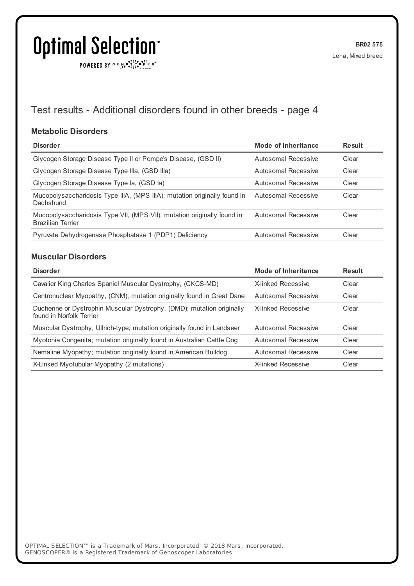$\texttt{POWERED BY} \xrightarrow{\mathbf{c}} \mathbb{I} \underset{\mathbf{a}}{\overset{\mathbf{r}}{\mathbf{a}}} \overset{\mathbf{r}}{\overset{\mathbf{r}}{\mathbf{s}}} \underset{\mathbf{a}}{\overset{\mathbf{r}}{\mathbf{a}}} \overset{\mathbf{r}}{\overset{\mathbf{r}}{\mathbf{s}}} \overset{\mathbf{r}}{\overset{\mathbf{r}}{\mathbf{s}}} \overset{\mathbf{r}}{\overset{\mathbf{r}}{\mathbf{s}}} \overset{\mathbf{r}}{\overset{\mathbf{r}}{\mathbf{s}}} \overset{\mathbf{r}}{\overset{\mathbf{r}}{\mathbf{s}}} \overset{\mathbf{r}}$ 

## Test results - Additional disorders found in other breeds - page 4

#### **Metabolic Disorders**

| <b>Disorder</b>                                                                                     | Mode of Inheritance | Result |
|-----------------------------------------------------------------------------------------------------|---------------------|--------|
| Glycogen Storage Disease Type II or Pompe's Disease, (GSD II)                                       | Autosomal Recessive | Clear  |
| Glycogen Storage Disease Type IIIa, (GSD IIIa)                                                      | Autosomal Recessive | Clear  |
| Glycogen Storage Disease Type la, (GSD la)                                                          | Autosomal Recessive | Clear  |
| Mucopolysaccharidosis Type IIIA, (MPS IIIA); mutation originally found in<br>Dachshund              | Autosomal Recessive | Clear  |
| Mucopolysaccharidosis Type VII, (MPS VII); mutation originally found in<br><b>Brazilian Terrier</b> | Autosomal Recessive | Clear  |
| Pyruvate Dehydrogenase Phosphatase 1 (PDP1) Deficiency                                              | Autosomal Recessive | Clear  |

#### **Muscular Disorders**

| <b>Disorder</b>                                                                                   | <b>Mode of Inheritance</b> | <b>Result</b> |
|---------------------------------------------------------------------------------------------------|----------------------------|---------------|
| Cavalier King Charles Spaniel Muscular Dystrophy, (CKCS-MD)                                       | <b>X-linked Recessive</b>  | Clear         |
| Centronuclear Myopathy, (CNM); mutation originally found in Great Dane                            | Autosomal Recessive        | Clear         |
| Duchenne or Dystrophin Muscular Dystrophy, (DMD); mutation originally<br>found in Norfolk Terrier | X-linked Recessive         | Clear         |
| Muscular Dystrophy, Ullrich-type; mutation originally found in Landseer                           | Autosomal Recessive        | Clear         |
| Myotonia Congenita; mutation originally found in Australian Cattle Dog                            | Autosomal Recessive        | Clear         |
| Nemaline Myopathy; mutation originally found in American Bulldog                                  | Autosomal Recessive        | Clear         |
| X-Linked Myotubular Myopathy (2 mutations)                                                        | <b>X-linked Recessive</b>  | Clear         |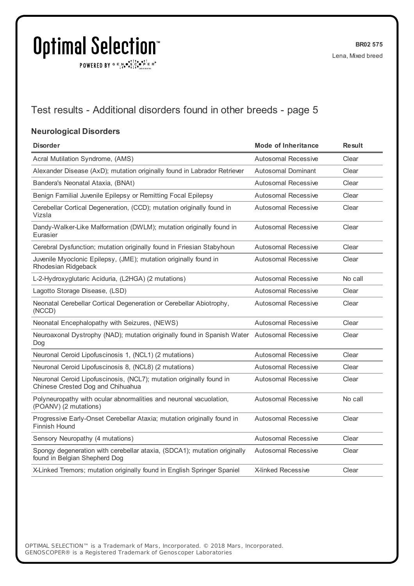$\texttt{POWERED BY} \xrightarrow{\mathbf{c}} \mathbb{I} \underset{\mathbf{a}}{\overset{\mathbf{r}}{\mathbf{a}}} \overset{\mathbf{r}}{\overset{\mathbf{r}}{\mathbf{s}}} \underset{\mathbf{a}}{\overset{\mathbf{r}}{\mathbf{a}}} \overset{\mathbf{r}}{\overset{\mathbf{r}}{\mathbf{s}}} \overset{\mathbf{r}}{\overset{\mathbf{r}}{\mathbf{s}}} \overset{\mathbf{r}}{\overset{\mathbf{r}}{\mathbf{s}}} \overset{\mathbf{r}}{\overset{\mathbf{r}}{\mathbf{s}}} \overset{\mathbf{r}}{\overset{\mathbf{r}}{\mathbf{s}}} \overset{\mathbf{r}}$ 

## Test results - Additional disorders found in other breeds - page 5

#### **Neurological Disorders**

| <b>Disorder</b>                                                                                           | <b>Mode of Inheritance</b> | <b>Result</b> |
|-----------------------------------------------------------------------------------------------------------|----------------------------|---------------|
| Acral Mutilation Syndrome, (AMS)                                                                          | <b>Autosomal Recessive</b> | Clear         |
| Alexander Disease (AxD); mutation originally found in Labrador Retriever                                  | <b>Autosomal Dominant</b>  | Clear         |
| Bandera's Neonatal Ataxia, (BNAt)                                                                         | <b>Autosomal Recessive</b> | Clear         |
| Benign Familial Juvenile Epilepsy or Remitting Focal Epilepsy                                             | <b>Autosomal Recessive</b> | Clear         |
| Cerebellar Cortical Degeneration, (CCD); mutation originally found in<br>Vizsla                           | <b>Autosomal Recessive</b> | Clear         |
| Dandy-Walker-Like Malformation (DWLM); mutation originally found in<br>Eurasier                           | <b>Autosomal Recessive</b> | Clear         |
| Cerebral Dysfunction; mutation originally found in Friesian Stabyhoun                                     | <b>Autosomal Recessive</b> | Clear         |
| Juvenile Myoclonic Epilepsy, (JME); mutation originally found in<br>Rhodesian Ridgeback                   | <b>Autosomal Recessive</b> | Clear         |
| L-2-Hydroxyglutaric Aciduria, (L2HGA) (2 mutations)                                                       | Autosomal Recessive        | No call       |
| Lagotto Storage Disease, (LSD)                                                                            | <b>Autosomal Recessive</b> | Clear         |
| Neonatal Cerebellar Cortical Degeneration or Cerebellar Abiotrophy,<br>(NCCD)                             | <b>Autosomal Recessive</b> | Clear         |
| Neonatal Encephalopathy with Seizures, (NEWS)                                                             | Autosomal Recessive        | Clear         |
| Neuroaxonal Dystrophy (NAD); mutation originally found in Spanish Water Autosomal Recessive<br>Dog        |                            | Clear         |
| Neuronal Ceroid Lipofuscinosis 1, (NCL1) (2 mutations)                                                    | Autosomal Recessive        | Clear         |
| Neuronal Ceroid Lipofuscinosis 8, (NCL8) (2 mutations)                                                    | Autosomal Recessive        | Clear         |
| Neuronal Ceroid Lipofuscinosis, (NCL7); mutation originally found in<br>Chinese Crested Dog and Chihuahua | <b>Autosomal Recessive</b> | Clear         |
| Polyneuropathy with ocular abnormalities and neuronal vacuolation,<br>(POANV) (2 mutations)               | <b>Autosomal Recessive</b> | No call       |
| Progressive Early-Onset Cerebellar Ataxia; mutation originally found in<br>Finnish Hound                  | <b>Autosomal Recessive</b> | Clear         |
| Sensory Neuropathy (4 mutations)                                                                          | Autosomal Recessive        | Clear         |
| Spongy degeneration with cerebellar ataxia, (SDCA1); mutation originally<br>found in Belgian Shepherd Dog | <b>Autosomal Recessive</b> | Clear         |
| X-Linked Tremors; mutation originally found in English Springer Spaniel                                   | <b>X-linked Recessive</b>  | Clear         |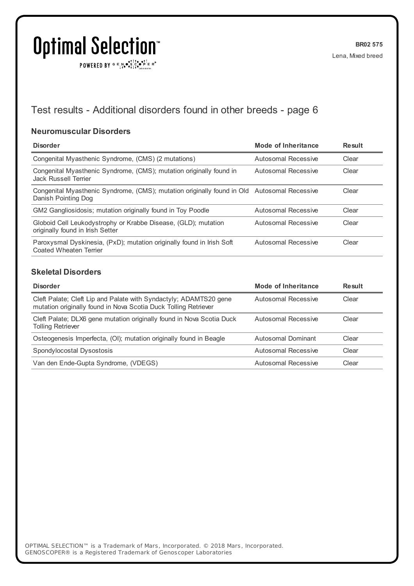$\texttt{POWERED BY} \xrightarrow{\mathbf{c}} \mathbb{I} \underset{\mathbf{a}}{\overset{\mathbf{r}}{\mathbf{a}}} \overset{\mathbf{r}}{\overset{\mathbf{r}}{\mathbf{s}}} \underset{\mathbf{a}}{\overset{\mathbf{r}}{\mathbf{a}}} \overset{\mathbf{r}}{\overset{\mathbf{r}}{\mathbf{s}}} \overset{\mathbf{r}}{\overset{\mathbf{r}}{\mathbf{s}}} \overset{\mathbf{r}}{\overset{\mathbf{r}}{\mathbf{s}}} \overset{\mathbf{r}}{\overset{\mathbf{r}}{\mathbf{s}}} \overset{\mathbf{r}}{\overset{\mathbf{r}}{\mathbf{s}}} \overset{\mathbf{r}}$ 

## Test results - Additional disorders found in other breeds - page 6

#### **Neuromuscular Disorders**

| <b>Disorder</b>                                                                                                    | Mode of Inheritance | Result |
|--------------------------------------------------------------------------------------------------------------------|---------------------|--------|
| Congenital Myasthenic Syndrome, (CMS) (2 mutations)                                                                | Autosomal Recessive | Clear  |
| Congenital Myasthenic Syndrome, (CMS); mutation originally found in<br><b>Jack Russell Terrier</b>                 | Autosomal Recessive | Clear  |
| Congenital Myasthenic Syndrome, (CMS); mutation originally found in Old Autosomal Recessive<br>Danish Pointing Dog |                     | Clear  |
| GM2 Gangliosidosis; mutation originally found in Toy Poodle                                                        | Autosomal Recessive | Clear  |
| Globoid Cell Leukodystrophy or Krabbe Disease, (GLD); mutation<br>originally found in Irish Setter                 | Autosomal Recessive | Clear  |
| Paroxysmal Dyskinesia, (PxD); mutation originally found in Irish Soft<br>Coated Wheaten Terrier                    | Autosomal Recessive | Clear  |

#### **Skeletal Disorders**

| <b>Disorder</b>                                                                                                                      | Mode of Inheritance | Result |
|--------------------------------------------------------------------------------------------------------------------------------------|---------------------|--------|
| Cleft Palate; Cleft Lip and Palate with Syndactyly; ADAMTS20 gene<br>mutation originally found in Nova Scotia Duck Tolling Retriever | Autosomal Recessive | Clear  |
| Cleft Palate; DLX6 gene mutation originally found in Nova Scotia Duck<br><b>Tolling Retriever</b>                                    | Autosomal Recessive | Clear  |
| Osteogenesis Imperfecta, (OI); mutation originally found in Beagle                                                                   | Autosomal Dominant  | Clear  |
| Spondylocostal Dysostosis                                                                                                            | Autosomal Recessive | Clear  |
| Van den Ende-Gupta Syndrome, (VDEGS)                                                                                                 | Autosomal Recessive | Clear  |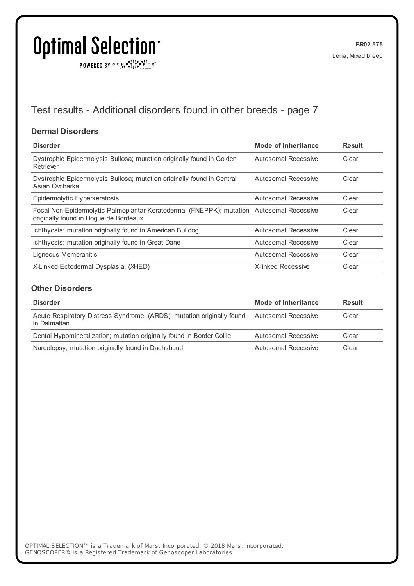POWERED BY  $G \in N \cdot S$   $C \cdot P$   $F \in R^{\circ}$ 

## Test results - Additional disorders found in other breeds - page 7

#### **Dermal Disorders**

| <b>Disorder</b>                                                                                                                   | <b>Mode of Inheritance</b> | <b>Result</b> |
|-----------------------------------------------------------------------------------------------------------------------------------|----------------------------|---------------|
| Dystrophic Epidermolysis Bullosa; mutation originally found in Golden<br>Retriever                                                | Autosomal Recessive        | Clear         |
| Dystrophic Epidermolysis Bullosa; mutation originally found in Central<br>Asian Ovcharka                                          | Autosomal Recessive        | Clear         |
| Epidermolytic Hyperkeratosis                                                                                                      | Autosomal Recessive        | Clear         |
| Focal Non-Epidermolytic Palmoplantar Keratoderma, (FNEPPK); mutation Autosomal Recessive<br>originally found in Doque de Bordeaux |                            | Clear         |
| Ichthyosis; mutation originally found in American Bulldog                                                                         | Autosomal Recessive        | Clear         |
| Ichthyosis; mutation originally found in Great Dane                                                                               | Autosomal Recessive        | Clear         |
| Ligneous Membranitis                                                                                                              | Autosomal Recessive        | Clear         |
| X-Linked Ectodermal Dysplasia, (XHED)                                                                                             | <b>X-linked Recessive</b>  | Clear         |

#### **Other Disorders**

| <b>Disorder</b>                                                                        | Mode of Inheritance | Result |
|----------------------------------------------------------------------------------------|---------------------|--------|
| Acute Respiratory Distress Syndrome, (ARDS); mutation originally found<br>in Dalmatian | Autosomal Recessive | Clear  |
| Dental Hypomineralization; mutation originally found in Border Collie                  | Autosomal Recessive | Clear  |
| Narcolepsy; mutation originally found in Dachshund                                     | Autosomal Recessive | Clear  |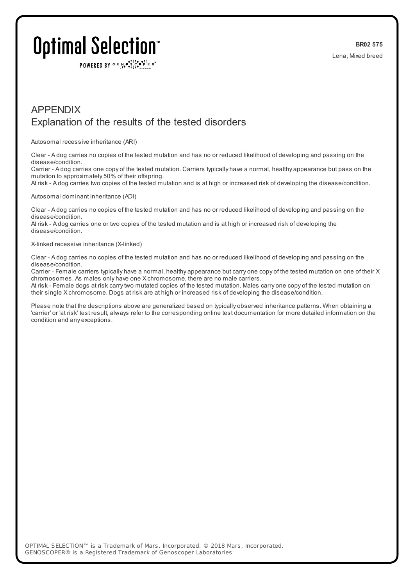POWERED BY  $G \in N$ .  $\mathbb{R}$ ,  $\mathbb{R}$ ,  $\mathbb{R}$ ,  $\mathbb{R}$   $\mathbb{R}$  is  $\mathbb{R}$ 

## APPENDIX Explanation of the results of the tested disorders

Autosomal recessive inheritance (ARI)

Clear - A dog carries no copies of the tested mutation and has no or reduced likelihood of developing and passing on the disease/condition.

Carrier - A dog carries one copy of the tested mutation. Carriers typically have a normal, healthy appearance but pass on the mutation to approximately 50% of their offspring.

At risk - A dog carries two copies of the tested mutation and is at high or increased risk of developing the disease/condition.

#### Autosomal dominant inheritance (ADI)

Clear - A dog carries no copies of the tested mutation and has no or reduced likelihood of developing and passing on the disease/condition.

At risk - A dog carries one or two copies of the tested mutation and is at high or increased risk of developing the disease/condition.

#### X-linked recessive inheritance (X-linked)

Clear - A dog carries no copies of the tested mutation and has no or reduced likelihood of developing and passing on the disease/condition.

Carrier - Female carriers typically have a normal, healthy appearance but carry one copy of the tested mutation on one of their X chromosomes. As males only have one X chromosome, there are no male carriers.

At risk - Female dogs at risk carrytwo mutated copies of the tested mutation. Males carry one copy of the tested mutation on their single X chromosome. Dogs at risk are at high or increased risk of developing the disease/condition.

Please note that the descriptions above are generalized based on typically observed inheritance patterns. When obtaining a 'carrier' or 'at risk' test result, always refer to the corresponding online test documentation for more detailed information on the condition and any exceptions.